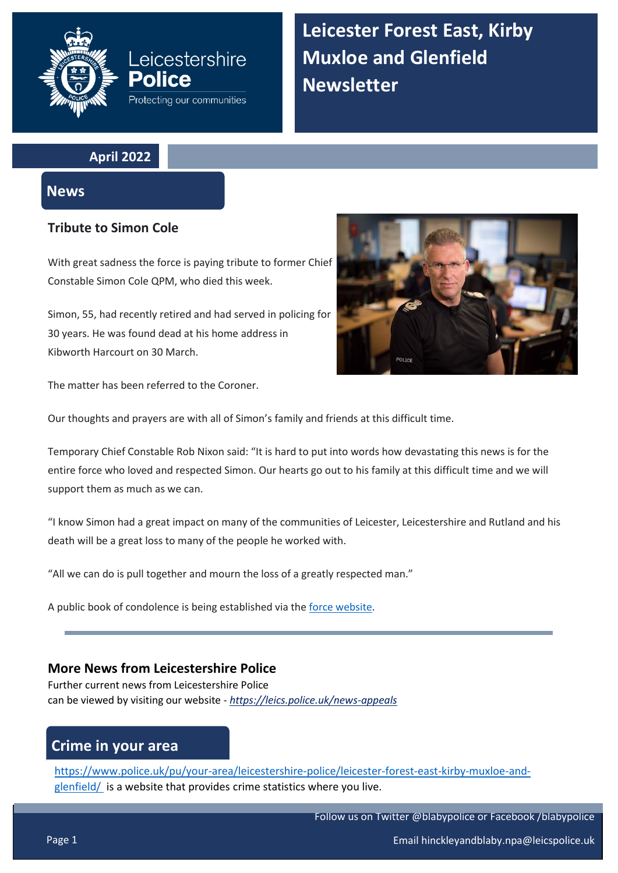# **Leicestershire** Police Protecting our communities

**Leicester Forest East, Kirby Muxloe and Glenfield Newsletter**

**April 2022**

### **News**

### **Tribute to Simon Cole**

With great sadness the force is paying tribute to former Chief Constable Simon Cole QPM, who died this week.

Simon, 55, had recently retired and had served in policing for 30 years. He was found dead at his home address in Kibworth Harcourt on 30 March.



The matter has been referred to the Coroner.

Our thoughts and prayers are with all of Simon's family and friends at this difficult time.

Temporary Chief Constable Rob Nixon said: "It is hard to put into words how devastating this news is for the entire force who loved and respected Simon. Our hearts go out to his family at this difficult time and we will support them as much as we can.

"I know Simon had a great impact on many of the communities of Leicester, Leicestershire and Rutland and his death will be a great loss to many of the people he worked with.

"All we can do is pull together and mourn the loss of a greatly respected man."

A public book of condolence is being established via th[e force website.](https://forms.office.com/pages/responsepage.aspx?id=JfQPa-LlOUK9i5G6AreUCq6e1hdrjzRMnTeboyw2DcFUNUxYQ00yTUJPNUhHMlA4UERRMFVOQ1BERC4u)

### **More News from Leicestershire Police**

Further current news from Leicestershire Police can be viewed by visiting our website - *<https://leics.police.uk/news-appeals>*

# **Crime in your area**

[https://www.police.uk/pu/your-area/leicestershire-police/leicester-forest-east-kirby-muxloe-and](https://www.police.uk/pu/your-area/leicestershire-police/leicester-forest-east-kirby-muxloe-and-glenfield/)[glenfield/](https://www.police.uk/pu/your-area/leicestershire-police/leicester-forest-east-kirby-muxloe-and-glenfield/) is a website that provides crime statistics where you live.

Follow us on Twitter @blabypolice or Facebook /blabypolice